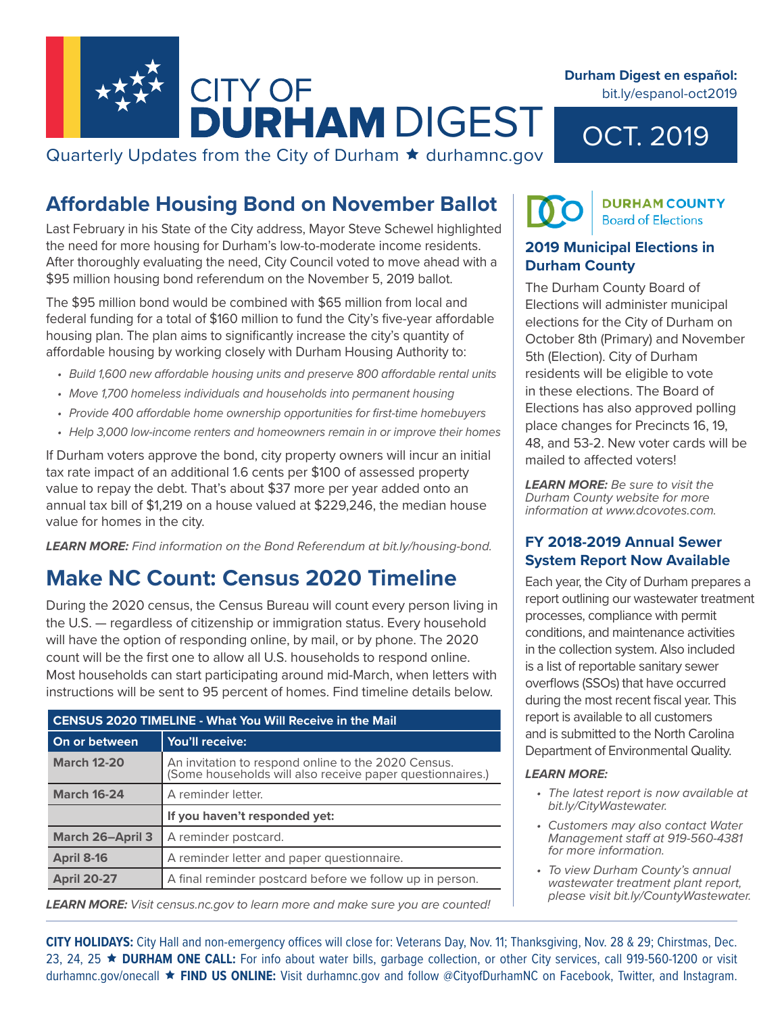

**Durham Digest en español:**  bit.ly/espanol-oct2019

OCT. 2019

Quarterly Updates from the City of Durham  $\star$  durhamnc.gov

## **Affordable Housing Bond on November Ballot**

Last February in his State of the City address, Mayor Steve Schewel highlighted the need for more housing for Durham's low-to-moderate income residents. After thoroughly evaluating the need, City Council voted to move ahead with a \$95 million housing bond referendum on the November 5, 2019 ballot.

The \$95 million bond would be combined with \$65 million from local and federal funding for a total of \$160 million to fund the City's five-year affordable housing plan. The plan aims to significantly increase the city's quantity of affordable housing by working closely with Durham Housing Authority to:

- *• Build 1,600 new affordable housing units and preserve 800 affordable rental units*
- *• Move 1,700 homeless individuals and households into permanent housing*
- *• Provide 400 affordable home ownership opportunities for first-time homebuyers*
- *• Help 3,000 low-income renters and homeowners remain in or improve their homes*

If Durham voters approve the bond, city property owners will incur an initial tax rate impact of an additional 1.6 cents per \$100 of assessed property value to repay the debt. That's about \$37 more per year added onto an annual tax bill of \$1,219 on a house valued at \$229,246, the median house value for homes in the city.

*LEARN MORE: Find information on the Bond Referendum at bit.ly/housing-bond.*

## **Make NC Count: Census 2020 Timeline**

During the 2020 census, the Census Bureau will count every person living in the U.S. — regardless of citizenship or immigration status. Every household will have the option of responding online, by mail, or by phone. The 2020 count will be the first one to allow all U.S. households to respond online. Most households can start participating around mid-March, when letters with instructions will be sent to 95 percent of homes. Find timeline details below.

| <b>CENSUS 2020 TIMELINE - What You Will Receive in the Mail</b> |                                                                                                                  |
|-----------------------------------------------------------------|------------------------------------------------------------------------------------------------------------------|
| On or between                                                   | You'll receive:                                                                                                  |
| <b>March 12-20</b>                                              | An invitation to respond online to the 2020 Census.<br>(Some households will also receive paper questionnaires.) |
| <b>March 16-24</b>                                              | A reminder letter.                                                                                               |
|                                                                 | If you haven't responded yet:                                                                                    |
| <b>March 26-April 3</b>                                         | A reminder postcard.                                                                                             |
| April 8-16                                                      | A reminder letter and paper questionnaire.                                                                       |
| <b>April 20-27</b>                                              | A final reminder postcard before we follow up in person.                                                         |

*LEARN MORE: Visit census.nc.gov to learn more and make sure you are counted!*

### **DURHAM COUNTY Board of Elections**

#### **2019 Municipal Elections in Durham County**

The Durham County Board of Elections will administer municipal elections for the City of Durham on October 8th (Primary) and November 5th (Election). City of Durham residents will be eligible to vote in these elections. The Board of Elections has also approved polling place changes for Precincts 16, 19, 48, and 53-2. New voter cards will be mailed to affected voters!

*LEARN MORE: Be sure to visit the Durham County website for more information at www.dcovotes.com.*

#### **FY 2018-2019 Annual Sewer System Report Now Available**

Each year, the City of Durham prepares a report outlining our wastewater treatment processes, compliance with permit conditions, and maintenance activities in the collection system. Also included is a list of reportable sanitary sewer overflows (SSOs) that have occurred during the most recent fiscal year. This report is available to all customers and is submitted to the North Carolina Department of Environmental Quality.

#### *LEARN MORE:*

- *• The latest report is now available at bit.ly/CityWastewater.*
- *• Customers may also contact Water Management staff at 919-560-4381 for more information.*
- *• To view Durham County's annual wastewater treatment plant report, please visit bit.ly/CountyWastewater.*

**CITY HOLIDAYS:** City Hall and non-emergency offices will close for: Veterans Day, Nov. 11; Thanksgiving, Nov. 28 & 29; Chirstmas, Dec. 23, 24, 25 **DURHAM ONE CALL:** For info about water bills, garbage collection, or other City services, call 919-560-1200 or visit durhamnc.gov/onecall **FIND US ONLINE:** Visit durhamnc.gov and follow @CityofDurhamNC on Facebook, Twitter, and Instagram.